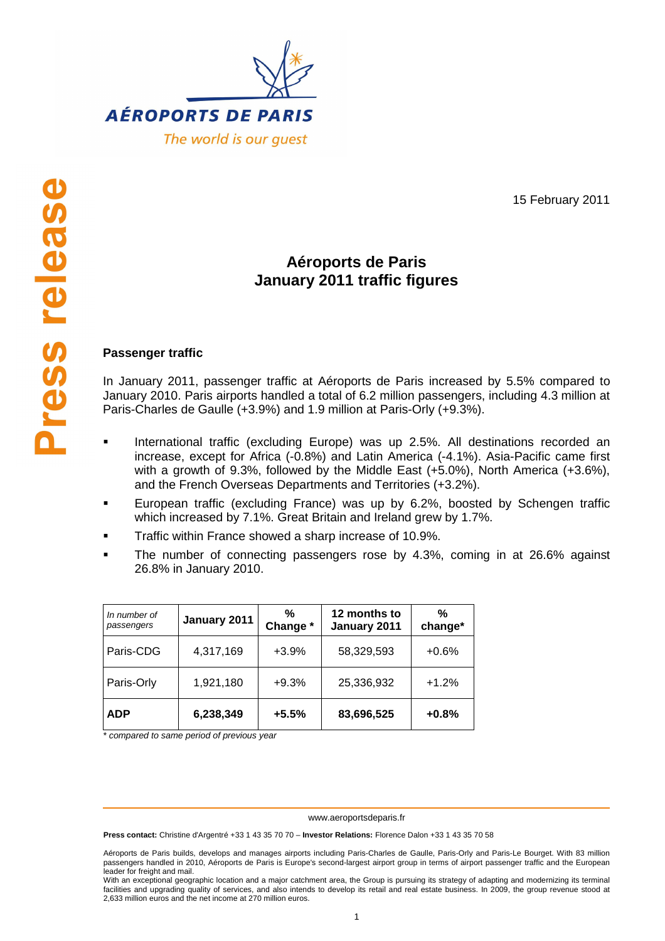

15 February 2011

## **Aéroports de Paris January 2011 traffic figures**

## **Passenger traffic**

In January 2011, passenger traffic at Aéroports de Paris increased by 5.5% compared to January 2010. Paris airports handled a total of 6.2 million passengers, including 4.3 million at Paris-Charles de Gaulle (+3.9%) and 1.9 million at Paris-Orly (+9.3%).

- International traffic (excluding Europe) was up 2.5%. All destinations recorded an increase, except for Africa (-0.8%) and Latin America (-4.1%). Asia-Pacific came first with a growth of 9.3%, followed by the Middle East (+5.0%), North America (+3.6%), and the French Overseas Departments and Territories (+3.2%).
- European traffic (excluding France) was up by 6.2%, boosted by Schengen traffic which increased by 7.1%. Great Britain and Ireland grew by 1.7%.
- Traffic within France showed a sharp increase of 10.9%.
- The number of connecting passengers rose by 4.3%, coming in at 26.6% against 26.8% in January 2010.

| In number of<br>passengers | January 2011 | %<br>Change * | 12 months to<br>January 2011 | %<br>change* |
|----------------------------|--------------|---------------|------------------------------|--------------|
| Paris-CDG                  | 4,317,169    | $+3.9%$       | 58,329,593                   | $+0.6%$      |
| Paris-Orly                 | 1,921,180    | $+9.3%$       | 25,336,932                   | $+1.2%$      |
| <b>ADP</b>                 | 6,238,349    | $+5.5%$       | 83,696,525                   | $+0.8%$      |

\* compared to same period of previous year

www.aeroportsdeparis.fr

**Press contact:** Christine d'Argentré +33 1 43 35 70 70 – **Investor Relations:** Florence Dalon +33 1 43 35 70 58

Aéroports de Paris builds, develops and manages airports including Paris-Charles de Gaulle, Paris-Orly and Paris-Le Bourget. With 83 million passengers handled in 2010, Aéroports de Paris is Europe's second-largest airport group in terms of airport passenger traffic and the European leader for freight and mail.

With an exceptional geographic location and a major catchment area, the Group is pursuing its strategy of adapting and modernizing its terminal facilities and upgrading quality of services, and also intends to develop its retail and real estate business. In 2009, the group revenue stood at 2,633 million euros and the net income at 270 million euros.